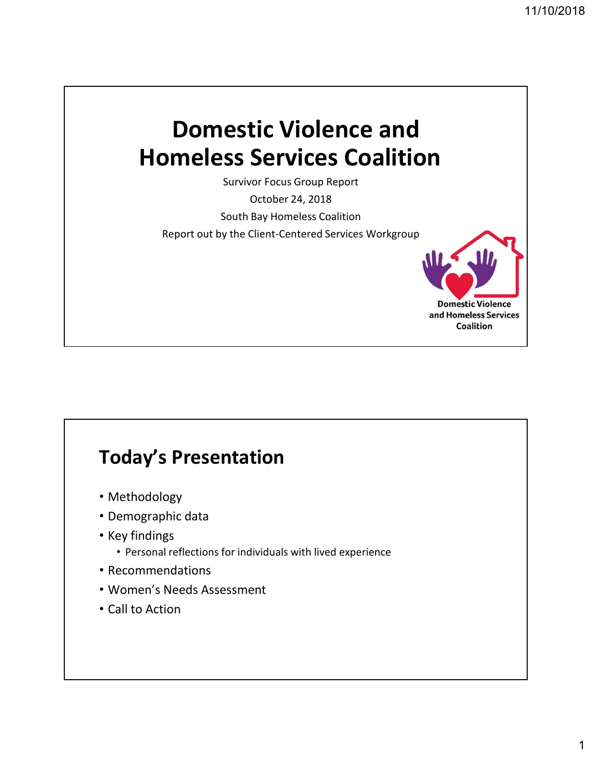**Domestic Violence** and Homeless Services Coalition

# Domestic Violence and Homeless Services Coalition

Survivor Focus Group Report

October 24, 2018

South Bay Homeless Coalition

Report out by the Client-Centered Services Workgroup

### Today's Presentation

- Methodology
- Demographic data
- Key findings
	- Personal reflections for individuals with lived experience
- Recommendations
- Women's Needs Assessment
- Call to Action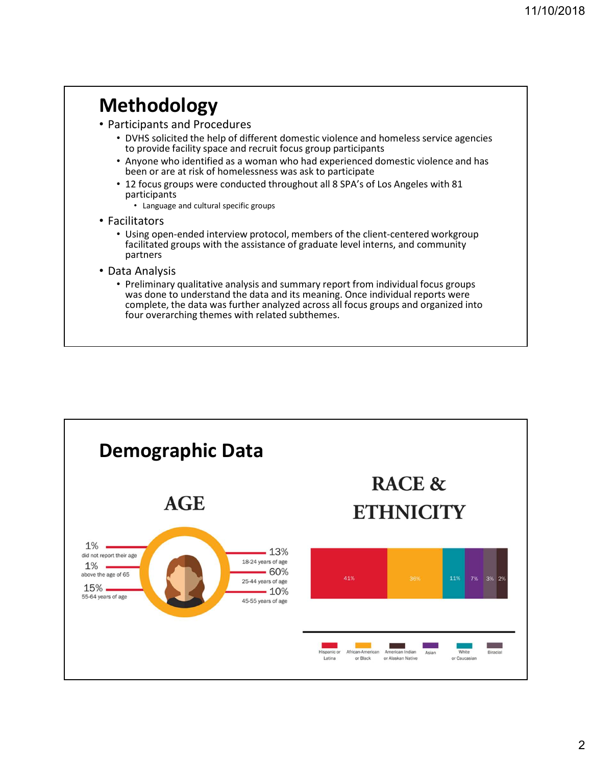### Methodology

- Participants and Procedures
	- DVHS solicited the help of different domestic violence and homeless service agencies to provide facility space and recruit focus group participants
	- Anyone who identified as a woman who had experienced domestic violence and has been or are at risk of homelessness was ask to participate
	- 12 focus groups were conducted throughout all 8 SPA's of Los Angeles with 81 participants
		- Language and cultural specific groups
- Facilitators
	- Using open-ended interview protocol, members of the client-centered workgroup facilitated groups with the assistance of graduate level interns, and community partners
- Data Analysis
	- Preliminary qualitative analysis and summary report from individual focus groups was done to understand the data and its meaning. Once individual reports were complete, the data was further analyzed across all focus groups and organized into four overarching themes with related subthemes.

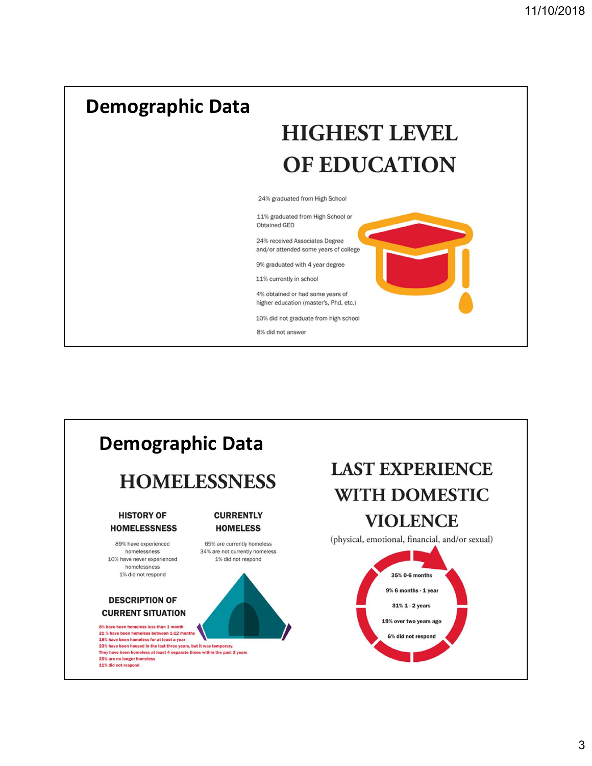



3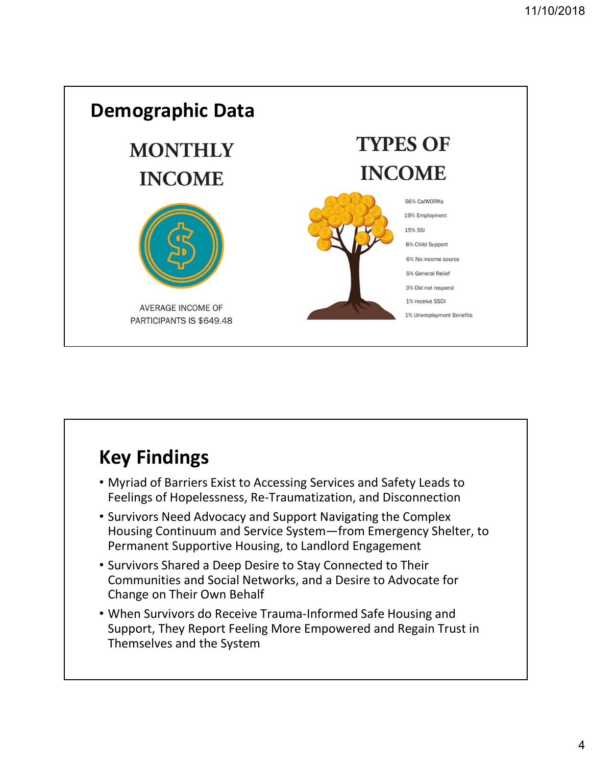

## Key Findings

- Myriad of Barriers Exist to Accessing Services and Safety Leads to Feelings of Hopelessness, Re-Traumatization, and Disconnection
- Survivors Need Advocacy and Support Navigating the Complex Housing Continuum and Service System—from Emergency Shelter, to Permanent Supportive Housing, to Landlord Engagement
- Survivors Shared a Deep Desire to Stay Connected to Their Communities and Social Networks, and a Desire to Advocate for Change on Their Own Behalf
- When Survivors do Receive Trauma-Informed Safe Housing and Support, They Report Feeling More Empowered and Regain Trust in Themselves and the System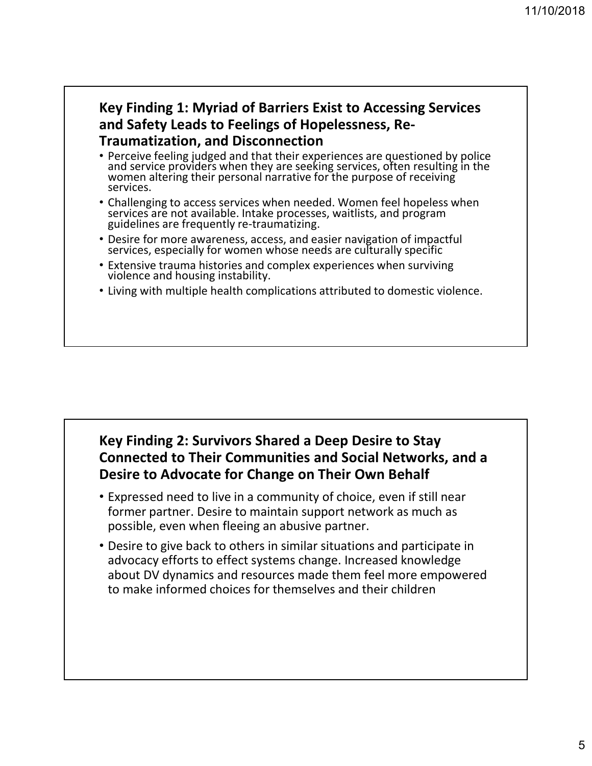## Key Finding 1: Myriad of Barriers Exist to Accessing Services and Safety Leads to Feelings of Hopelessness, Re-

- **Traumatization, and Disconnection**<br>• Perceive feeling judged and that their experiences are questioned by police • Perceive feeling judged and that their experiences are questioned by police and service providers when they are seeking services, often resulting in the women altering their personal narrative for the purpose of receiving services.
- Challenging to access services when needed. Women feel hopeless when services are not available. Intake processes, waitlists, and program guidelines are frequently re-traumatizing.
- Desire for more awareness, access, and easier navigation of impactful services, especially for women whose needs are culturally specific
- Extensive trauma histories and complex experiences when surviving violence and housing instability.
- Living with multiple health complications attributed to domestic violence.

#### Key Finding 2: Survivors Shared a Deep Desire to Stay Connected to Their Communities and Social Networks, and a Desire to Advocate for Change on Their Own Behalf

- Expressed need to live in a community of choice, even if still near former partner. Desire to maintain support network as much as possible, even when fleeing an abusive partner.
- Desire to give back to others in similar situations and participate in advocacy efforts to effect systems change. Increased knowledge about DV dynamics and resources made them feel more empowered to make informed choices for themselves and their children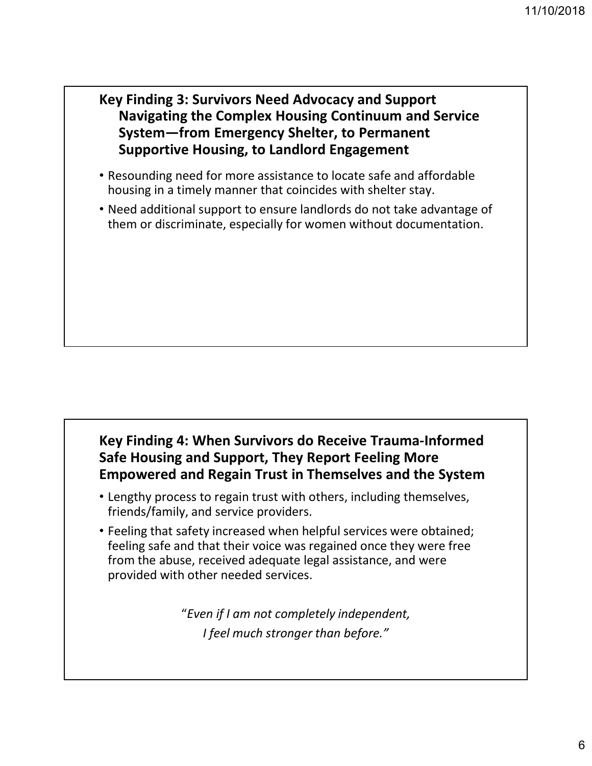#### Key Finding 3: Survivors Need Advocacy and Support Navigating the Complex Housing Continuum and Service System—from Emergency Shelter, to Permanent Supportive Housing, to Landlord Engagement

- Resounding need for more assistance to locate safe and affordable housing in a timely manner that coincides with shelter stay.
- Need additional support to ensure landlords do not take advantage of them or discriminate, especially for women without documentation.

#### Key Finding 4: When Survivors do Receive Trauma-Informed Safe Housing and Support, They Report Feeling More Empowered and Regain Trust in Themselves and the System

- Lengthy process to regain trust with others, including themselves, friends/family, and service providers.
- Feeling that safety increased when helpful services were obtained; feeling safe and that their voice was regained once they were free from the abuse, received adequate legal assistance, and were provided with other needed services.

"Even if I am not completely independent, I feel much stronger than before."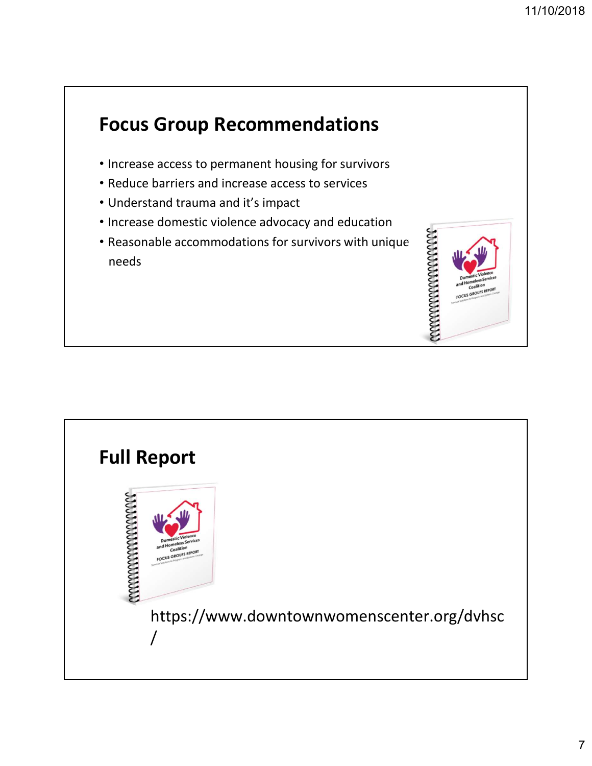

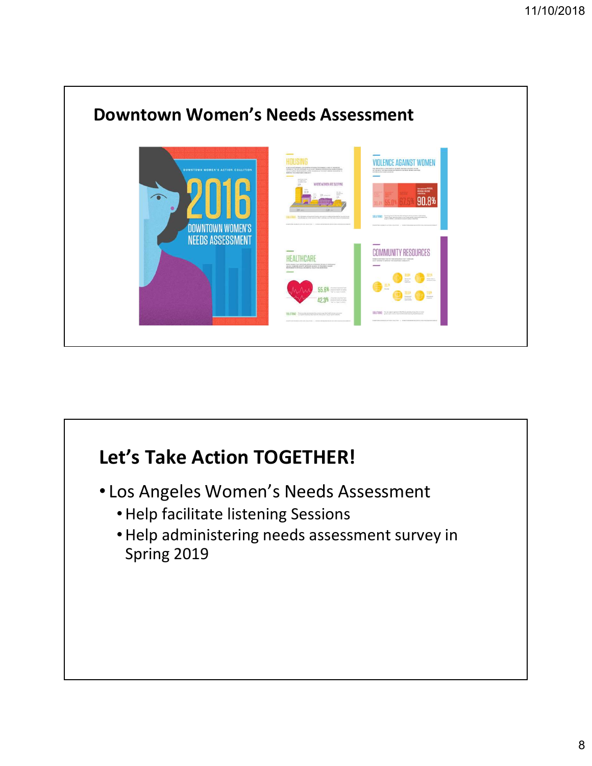